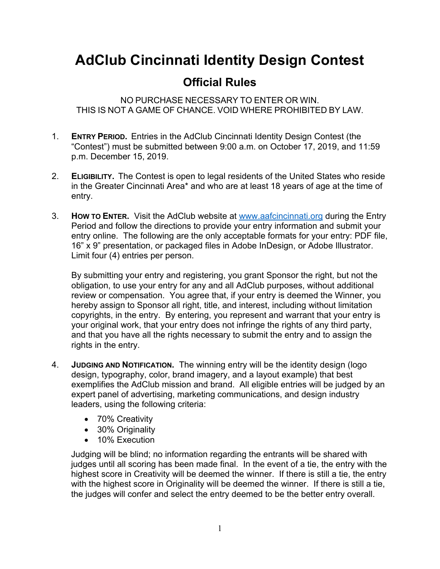## **AdClub Cincinnati Identity Design Contest**

## **Official Rules**

NO PURCHASE NECESSARY TO ENTER OR WIN. THIS IS NOT A GAME OF CHANCE. VOID WHERE PROHIBITED BY LAW.

- 1. **ENTRY PERIOD.** Entries in the AdClub Cincinnati Identity Design Contest (the "Contest") must be submitted between 9:00 a.m. on October 17, 2019, and 11:59 p.m. December 15, 2019.
- 2. **ELIGIBILITY.** The Contest is open to legal residents of the United States who reside in the Greater Cincinnati Area\* and who are at least 18 years of age at the time of entry.
- 3. **HOW TO ENTER.** Visit the AdClub website at www.aafcincinnati.org during the Entry Period and follow the directions to provide your entry information and submit your entry online. The following are the only acceptable formats for your entry: PDF file, 16" x 9" presentation, or packaged files in Adobe InDesign, or Adobe Illustrator. Limit four (4) entries per person.

By submitting your entry and registering, you grant Sponsor the right, but not the obligation, to use your entry for any and all AdClub purposes, without additional review or compensation. You agree that, if your entry is deemed the Winner, you hereby assign to Sponsor all right, title, and interest, including without limitation copyrights, in the entry. By entering, you represent and warrant that your entry is your original work, that your entry does not infringe the rights of any third party, and that you have all the rights necessary to submit the entry and to assign the rights in the entry.

- 4. **JUDGING AND NOTIFICATION.** The winning entry will be the identity design (logo design, typography, color, brand imagery, and a layout example) that best exemplifies the AdClub mission and brand. All eligible entries will be judged by an expert panel of advertising, marketing communications, and design industry leaders, using the following criteria:
	- 70% Creativity
	- 30% Originality
	- 10% Execution

Judging will be blind; no information regarding the entrants will be shared with judges until all scoring has been made final. In the event of a tie, the entry with the highest score in Creativity will be deemed the winner. If there is still a tie, the entry with the highest score in Originality will be deemed the winner. If there is still a tie, the judges will confer and select the entry deemed to be the better entry overall.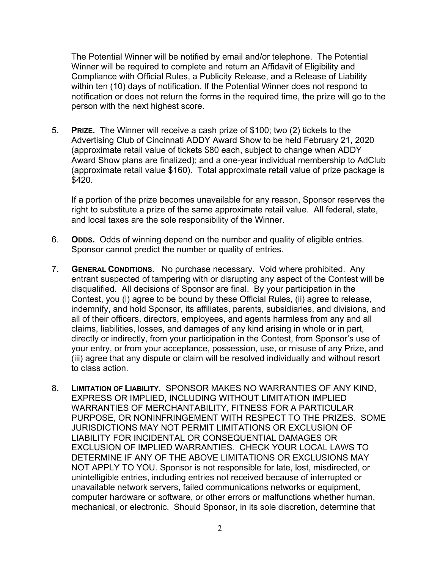The Potential Winner will be notified by email and/or telephone. The Potential Winner will be required to complete and return an Affidavit of Eligibility and Compliance with Official Rules, a Publicity Release, and a Release of Liability within ten (10) days of notification. If the Potential Winner does not respond to notification or does not return the forms in the required time, the prize will go to the person with the next highest score.

5. **PRIZE.** The Winner will receive a cash prize of \$100; two (2) tickets to the Advertising Club of Cincinnati ADDY Award Show to be held February 21, 2020 (approximate retail value of tickets \$80 each, subject to change when ADDY Award Show plans are finalized); and a one-year individual membership to AdClub (approximate retail value \$160). Total approximate retail value of prize package is \$420.

If a portion of the prize becomes unavailable for any reason, Sponsor reserves the right to substitute a prize of the same approximate retail value. All federal, state, and local taxes are the sole responsibility of the Winner.

- 6. **ODDS.** Odds of winning depend on the number and quality of eligible entries. Sponsor cannot predict the number or quality of entries.
- 7. **GENERAL CONDITIONS.** No purchase necessary. Void where prohibited. Any entrant suspected of tampering with or disrupting any aspect of the Contest will be disqualified. All decisions of Sponsor are final. By your participation in the Contest, you (i) agree to be bound by these Official Rules, (ii) agree to release, indemnify, and hold Sponsor, its affiliates, parents, subsidiaries, and divisions, and all of their officers, directors, employees, and agents harmless from any and all claims, liabilities, losses, and damages of any kind arising in whole or in part, directly or indirectly, from your participation in the Contest, from Sponsor's use of your entry, or from your acceptance, possession, use, or misuse of any Prize, and (iii) agree that any dispute or claim will be resolved individually and without resort to class action.
- 8. **LIMITATION OF LIABILITY.** SPONSOR MAKES NO WARRANTIES OF ANY KIND, EXPRESS OR IMPLIED, INCLUDING WITHOUT LIMITATION IMPLIED WARRANTIES OF MERCHANTABILITY, FITNESS FOR A PARTICULAR PURPOSE, OR NONINFRINGEMENT WITH RESPECT TO THE PRIZES. SOME JURISDICTIONS MAY NOT PERMIT LIMITATIONS OR EXCLUSION OF LIABILITY FOR INCIDENTAL OR CONSEQUENTIAL DAMAGES OR EXCLUSION OF IMPLIED WARRANTIES. CHECK YOUR LOCAL LAWS TO DETERMINE IF ANY OF THE ABOVE LIMITATIONS OR EXCLUSIONS MAY NOT APPLY TO YOU. Sponsor is not responsible for late, lost, misdirected, or unintelligible entries, including entries not received because of interrupted or unavailable network servers, failed communications networks or equipment, computer hardware or software, or other errors or malfunctions whether human, mechanical, or electronic. Should Sponsor, in its sole discretion, determine that